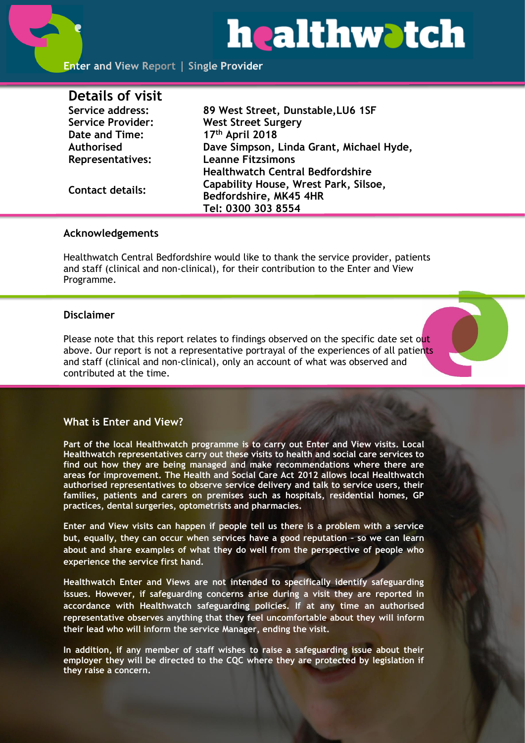# **healthwatch**

| Details of visit         |                                          |
|--------------------------|------------------------------------------|
| Service address:         | 89 West Street, Dunstable, LU6 1SF       |
| <b>Service Provider:</b> | <b>West Street Surgery</b>               |
| Date and Time:           | 17th April 2018                          |
| Authorised               | Dave Simpson, Linda Grant, Michael Hyde, |
| <b>Representatives:</b>  | <b>Leanne Fitzsimons</b>                 |
|                          | <b>Healthwatch Central Bedfordshire</b>  |
| <b>Contact details:</b>  | Capability House, Wrest Park, Silsoe,    |
|                          | Bedfordshire, MK45 4HR                   |
|                          | Tel: 0300 303 8554                       |

#### **Acknowledgements**

Healthwatch Central Bedfordshire would like to thank the service provider, patients and staff (clinical and non-clinical), for their contribution to the Enter and View Programme.

## **Disclaimer**

Please note that this report relates to findings observed on the specific date set out above. Our report is not a representative portrayal of the experiences of all patients and staff (clinical and non-clinical), only an account of what was observed and contributed at the time.

## **What is Enter and View?**

**Part of the local Healthwatch programme is to carry out Enter and View visits. Local Healthwatch representatives carry out these visits to health and social care services to find out how they are being managed and make recommendations where there are areas for improvement. The Health and Social Care Act 2012 allows local Healthwatch authorised representatives to observe service delivery and talk to service users, their families, patients and carers on premises such as hospitals, residential homes, GP practices, dental surgeries, optometrists and pharmacies.** 

**Enter and View visits can happen if people tell us there is a problem with a service but, equally, they can occur when services have a good reputation – so we can learn about and share examples of what they do well from the perspective of people who experience the service first hand.**

**Healthwatch Enter and Views are not intended to specifically identify safeguarding issues. However, if safeguarding concerns arise during a visit they are reported in accordance with Healthwatch safeguarding policies. If at any time an authorised representative observes anything that they feel uncomfortable about they will inform their lead who will inform the service Manager, ending the visit.** 

**In addition, if any member of staff wishes to raise a safeguarding issue about their employer they will be directed to the CQC where they are protected by legislation if they raise a concern.**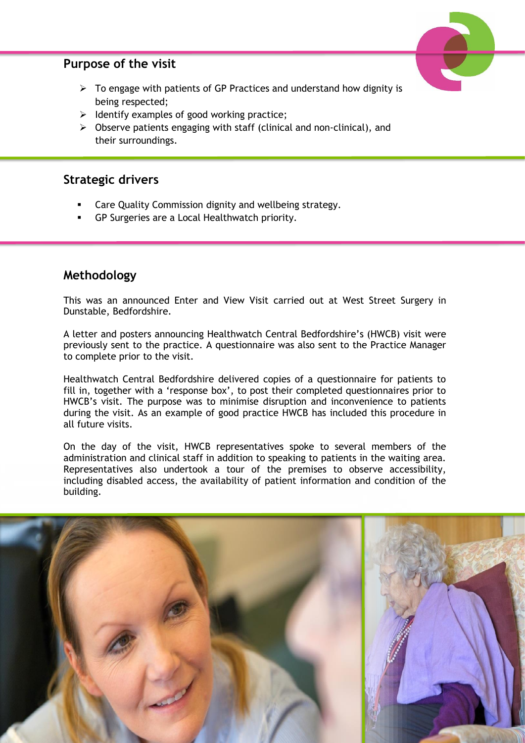# **Purpose of the visit**



- $\triangleright$  To engage with patients of GP Practices and understand how dignity is being respected;
- ➢ Identify examples of good working practice;
- ➢ Observe patients engaging with staff (clinical and non-clinical), and their surroundings.

# **Strategic drivers**

- Care Quality Commission dignity and wellbeing strategy.
- GP Surgeries are a Local Healthwatch priority.

# **Methodology**

This was an announced Enter and View Visit carried out at West Street Surgery in Dunstable, Bedfordshire.

A letter and posters announcing Healthwatch Central Bedfordshire's (HWCB) visit were previously sent to the practice. A questionnaire was also sent to the Practice Manager to complete prior to the visit.

Healthwatch Central Bedfordshire delivered copies of a questionnaire for patients to fill in, together with a 'response box', to post their completed questionnaires prior to HWCB's visit. The purpose was to minimise disruption and inconvenience to patients during the visit. As an example of good practice HWCB has included this procedure in all future visits.

On the day of the visit, HWCB representatives spoke to several members of the administration and clinical staff in addition to speaking to patients in the waiting area. Representatives also undertook a tour of the premises to observe accessibility, including disabled access, the availability of patient information and condition of the building.

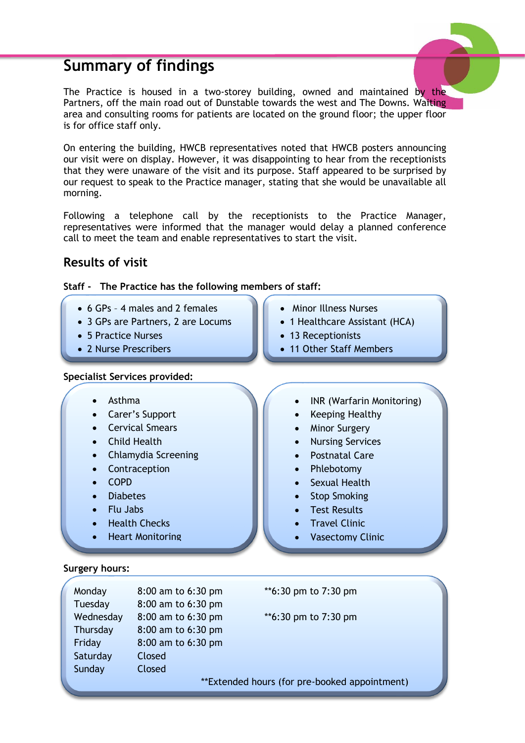# **Summary of findings**



The Practice is housed in a two-storey building, owned and maintained by the Partners, off the main road out of Dunstable towards the west and The Downs. Waiting area and consulting rooms for patients are located on the ground floor; the upper floor is for office staff only.

On entering the building, HWCB representatives noted that HWCB posters announcing our visit were on display. However, it was disappointing to hear from the receptionists that they were unaware of the visit and its purpose. Staff appeared to be surprised by our request to speak to the Practice manager, stating that she would be unavailable all morning.

Following a telephone call by the receptionists to the Practice Manager, representatives were informed that the manager would delay a planned conference call to meet the team and enable representatives to start the visit.

# **Results of visit**



- 6 GPs 4 males and 2 females
- 3 GPs are Partners, 2 are Locums
- 5 Practice Nurses
- 2 Nurse Prescribers

#### **Specialist Services provided:**

- Asthma
- Carer's Support
- Cervical Smears
- Child Health
- Chlamydia Screening
- Contraception
- COPD
- Diabetes
- Flu Jabs
- Health Checks
- **Heart Monitoring**
- **Surgery hours:**
- Minor Illness Nurses
- 1 Healthcare Assistant (HCA)
- 13 Receptionists
- 11 Other Staff Members
	- INR (Warfarin Monitoring)
	- Keeping Healthy
	- **Minor Surgery**
	- Nursing Services
	- Postnatal Care
	- Phlebotomy
	- Sexual Health
	- Stop Smoking
	- Test Results
	- Travel Clinic
	- Vasectomy Clinic

| Monday    | 8:00 am to 6:30 pm |
|-----------|--------------------|
| Tuesday   | 8:00 am to 6:30 pm |
| Wednesday | 8:00 am to 6:30 pm |
| Thursday  | 8:00 am to 6:30 pm |
| Friday    | 8:00 am to 6:30 pm |
| Saturday  | Closed             |
| Sunday    | Closed             |
|           |                    |

\*\*6:30 pm to 7:30 pm

 $*6:30$  pm to 7:30 pm

\*\*Extended hours (for pre-booked appointment)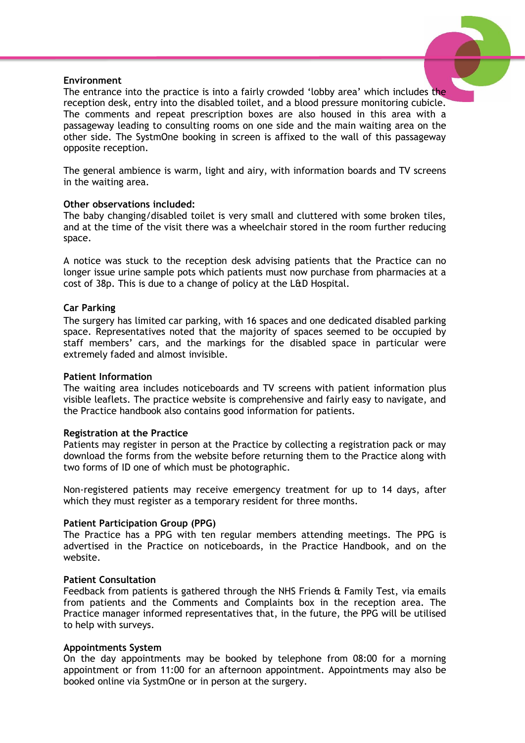#### **Environment**



The entrance into the practice is into a fairly crowded 'lobby area' which includes the reception desk, entry into the disabled toilet, and a blood pressure monitoring cubicle. The comments and repeat prescription boxes are also housed in this area with a passageway leading to consulting rooms on one side and the main waiting area on the other side. The SystmOne booking in screen is affixed to the wall of this passageway opposite reception.

The general ambience is warm, light and airy, with information boards and TV screens in the waiting area.

#### **Other observations included:**

The baby changing/disabled toilet is very small and cluttered with some broken tiles, and at the time of the visit there was a wheelchair stored in the room further reducing space.

A notice was stuck to the reception desk advising patients that the Practice can no longer issue urine sample pots which patients must now purchase from pharmacies at a cost of 38p. This is due to a change of policy at the L&D Hospital.

#### **Car Parking**

The surgery has limited car parking, with 16 spaces and one dedicated disabled parking space. Representatives noted that the majority of spaces seemed to be occupied by staff members' cars, and the markings for the disabled space in particular were extremely faded and almost invisible.

#### **Patient Information**

The waiting area includes noticeboards and TV screens with patient information plus visible leaflets. The practice website is comprehensive and fairly easy to navigate, and the Practice handbook also contains good information for patients.

#### **Registration at the Practice**

Patients may register in person at the Practice by collecting a registration pack or may download the forms from the website before returning them to the Practice along with two forms of ID one of which must be photographic.

Non-registered patients may receive emergency treatment for up to 14 days, after which they must register as a temporary resident for three months.

#### **Patient Participation Group (PPG)**

The Practice has a PPG with ten regular members attending meetings. The PPG is advertised in the Practice on noticeboards, in the Practice Handbook, and on the website.

#### **Patient Consultation**

Feedback from patients is gathered through the NHS Friends & Family Test, via emails from patients and the Comments and Complaints box in the reception area. The Practice manager informed representatives that, in the future, the PPG will be utilised to help with surveys.

#### **Appointments System**

On the day appointments may be booked by telephone from 08:00 for a morning appointment or from 11:00 for an afternoon appointment. Appointments may also be booked online via SystmOne or in person at the surgery.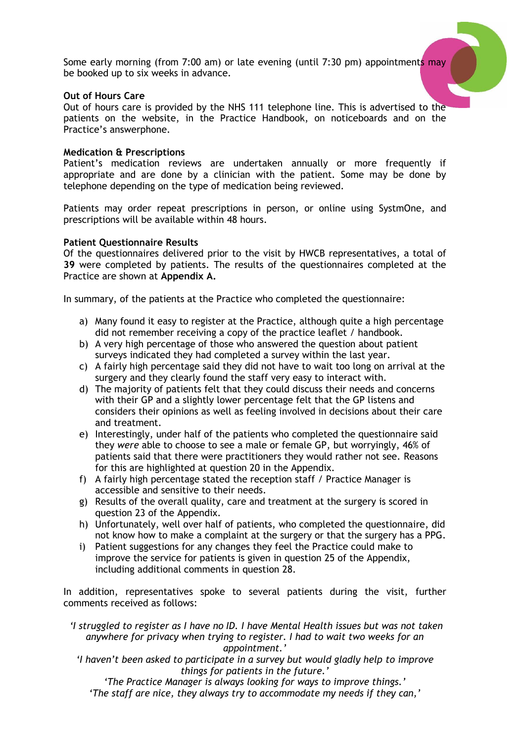Some early morning (from 7:00 am) or late evening (until 7:30 pm) appointments may be booked up to six weeks in advance.

#### **Out of Hours Care**

Out of hours care is provided by the NHS 111 telephone line. This is advertised to the patients on the website, in the Practice Handbook, on noticeboards and on the Practice's answerphone.

#### **Medication & Prescriptions**

Patient's medication reviews are undertaken annually or more frequently if appropriate and are done by a clinician with the patient. Some may be done by telephone depending on the type of medication being reviewed.

Patients may order repeat prescriptions in person, or online using SystmOne, and prescriptions will be available within 48 hours.

#### **Patient Questionnaire Results**

Of the questionnaires delivered prior to the visit by HWCB representatives, a total of **39** were completed by patients. The results of the questionnaires completed at the Practice are shown at **Appendix A.**

In summary, of the patients at the Practice who completed the questionnaire:

- a) Many found it easy to register at the Practice, although quite a high percentage did not remember receiving a copy of the practice leaflet / handbook.
- b) A very high percentage of those who answered the question about patient surveys indicated they had completed a survey within the last year.
- c) A fairly high percentage said they did not have to wait too long on arrival at the surgery and they clearly found the staff very easy to interact with.
- d) The majority of patients felt that they could discuss their needs and concerns with their GP and a slightly lower percentage felt that the GP listens and considers their opinions as well as feeling involved in decisions about their care and treatment.
- e) Interestingly, under half of the patients who completed the questionnaire said they *were* able to choose to see a male or female GP, but worryingly, 46% of patients said that there were practitioners they would rather not see. Reasons for this are highlighted at question 20 in the Appendix.
- f) A fairly high percentage stated the reception staff / Practice Manager is accessible and sensitive to their needs.
- g) Results of the overall quality, care and treatment at the surgery is scored in question 23 of the Appendix.
- h) Unfortunately, well over half of patients, who completed the questionnaire, did not know how to make a complaint at the surgery or that the surgery has a PPG.
- i) Patient suggestions for any changes they feel the Practice could make to improve the service for patients is given in question 25 of the Appendix, including additional comments in question 28.

In addition, representatives spoke to several patients during the visit, further comments received as follows:

*'I struggled to register as I have no ID. I have Mental Health issues but was not taken anywhere for privacy when trying to register. I had to wait two weeks for an appointment.'*

*'I haven't been asked to participate in a survey but would gladly help to improve things for patients in the future.'*

*'The Practice Manager is always looking for ways to improve things.' 'The staff are nice, they always try to accommodate my needs if they can,'*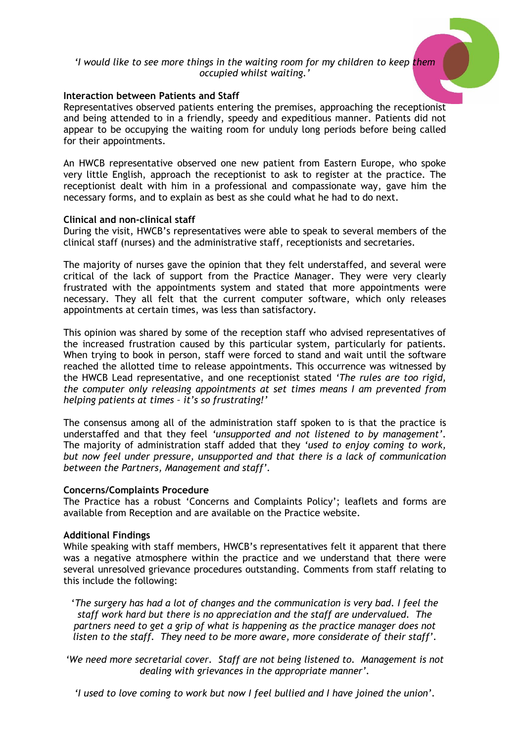#### *'I would like to see more things in the waiting room for my children to keep them occupied whilst waiting.'*

#### **Interaction between Patients and Staff**

Representatives observed patients entering the premises, approaching the receptionist and being attended to in a friendly, speedy and expeditious manner. Patients did not appear to be occupying the waiting room for unduly long periods before being called for their appointments.

An HWCB representative observed one new patient from Eastern Europe, who spoke very little English, approach the receptionist to ask to register at the practice. The receptionist dealt with him in a professional and compassionate way, gave him the necessary forms, and to explain as best as she could what he had to do next.

#### **Clinical and non-clinical staff**

During the visit, HWCB's representatives were able to speak to several members of the clinical staff (nurses) and the administrative staff, receptionists and secretaries.

The majority of nurses gave the opinion that they felt understaffed, and several were critical of the lack of support from the Practice Manager. They were very clearly frustrated with the appointments system and stated that more appointments were necessary. They all felt that the current computer software, which only releases appointments at certain times, was less than satisfactory.

This opinion was shared by some of the reception staff who advised representatives of the increased frustration caused by this particular system, particularly for patients. When trying to book in person, staff were forced to stand and wait until the software reached the allotted time to release appointments. This occurrence was witnessed by the HWCB Lead representative, and one receptionist stated *'The rules are too rigid, the computer only releasing appointments at set times means I am prevented from helping patients at times – it's so frustrating!'*

The consensus among all of the administration staff spoken to is that the practice is understaffed and that they feel *'unsupported and not listened to by management'.* The majority of administration staff added that they *'used to enjoy coming to work, but now feel under pressure, unsupported and that there is a lack of communication between the Partners, Management and staff'.*

#### **Concerns/Complaints Procedure**

The Practice has a robust 'Concerns and Complaints Policy'; leaflets and forms are available from Reception and are available on the Practice website.

#### **Additional Findings**

While speaking with staff members, HWCB's representatives felt it apparent that there was a negative atmosphere within the practice and we understand that there were several unresolved grievance procedures outstanding. Comments from staff relating to this include the following:

'*The surgery has had a lot of changes and the communication is very bad. I feel the staff work hard but there is no appreciation and the staff are undervalued. The partners need to get a grip of what is happening as the practice manager does not listen to the staff. They need to be more aware, more considerate of their staff'.*

*'We need more secretarial cover. Staff are not being listened to. Management is not dealing with grievances in the appropriate manner'.*

*'I used to love coming to work but now I feel bullied and I have joined the union'.*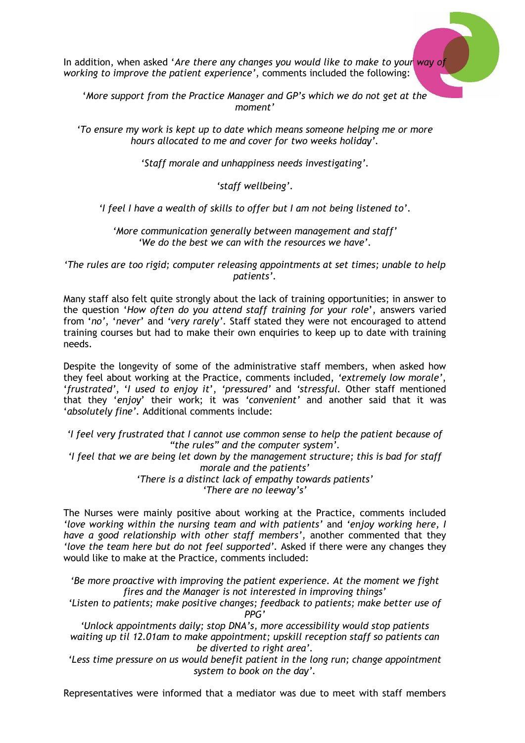In addition, when asked '*Are there any changes you would like to make to your way of working to improve the patient experience'*, comments included the following:

'*More support from the Practice Manager and GP's which we do not get at the moment'*

*'To ensure my work is kept up to date which means someone helping me or more hours allocated to me and cover for two weeks holiday'.*

*'Staff morale and unhappiness needs investigating'.*

*'staff wellbeing'.*

*'I feel I have a wealth of skills to offer but I am not being listened to'.*

*'More communication generally between management and staff' 'We do the best we can with the resources we have'.*

*'The rules are too rigid; computer releasing appointments at set times; unable to help patients'.*

Many staff also felt quite strongly about the lack of training opportunities; in answer to the question '*How often do you attend staff training for your role*', answers varied from '*no'*, '*never*' and *'very rarely'*. Staff stated they were not encouraged to attend training courses but had to make their own enquiries to keep up to date with training needs.

Despite the longevity of some of the administrative staff members, when asked how they feel about working at the Practice, comments included, *'extremely low morale'*, '*frustrated'*, '*I used to enjoy it*', *'pressured'* and *'stressful.* Other staff mentioned that they '*enjoy*' their work; it was *'convenient'* and another said that it was '*absolutely fine'.* Additional comments include:

*'I feel very frustrated that I cannot use common sense to help the patient because of "the rules" and the computer system'.*

*'I feel that we are being let down by the management structure; this is bad for staff morale and the patients'*

*'There is a distinct lack of empathy towards patients' 'There are no leeway's'*

The Nurses were mainly positive about working at the Practice, comments included *'love working within the nursing team and with patients'* and *'enjoy working here, I have a good relationship with other staff members',* another commented that they *'love the team here but do not feel supported'.* Asked if there were any changes they would like to make at the Practice, comments included:

*'Be more proactive with improving the patient experience. At the moment we fight fires and the Manager is not interested in improving things'*

*'Listen to patients; make positive changes; feedback to patients; make better use of PPG'*

*'Unlock appointments daily; stop DNA's, more accessibility would stop patients waiting up til 12.01am to make appointment; upskill reception staff so patients can be diverted to right area'.*

'Less time pressure on us would benefit patient in the long run; change appointment *system to book on the day'.*

Representatives were informed that a mediator was due to meet with staff members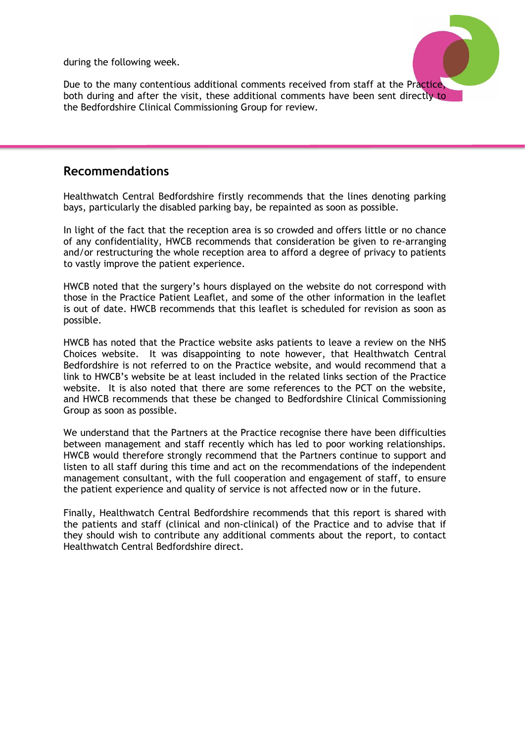during the following week.



Due to the many contentious additional comments received from staff at the Practice, both during and after the visit, these additional comments have been sent directly to the Bedfordshire Clinical Commissioning Group for review.

# **Recommendations**

Healthwatch Central Bedfordshire firstly recommends that the lines denoting parking bays, particularly the disabled parking bay, be repainted as soon as possible.

In light of the fact that the reception area is so crowded and offers little or no chance of any confidentiality, HWCB recommends that consideration be given to re-arranging and/or restructuring the whole reception area to afford a degree of privacy to patients to vastly improve the patient experience.

HWCB noted that the surgery's hours displayed on the website do not correspond with those in the Practice Patient Leaflet, and some of the other information in the leaflet is out of date. HWCB recommends that this leaflet is scheduled for revision as soon as possible.

HWCB has noted that the Practice website asks patients to leave a review on the NHS Choices website. It was disappointing to note however, that Healthwatch Central Bedfordshire is not referred to on the Practice website, and would recommend that a link to HWCB's website be at least included in the related links section of the Practice website. It is also noted that there are some references to the PCT on the website, and HWCB recommends that these be changed to Bedfordshire Clinical Commissioning Group as soon as possible.

We understand that the Partners at the Practice recognise there have been difficulties between management and staff recently which has led to poor working relationships. HWCB would therefore strongly recommend that the Partners continue to support and listen to all staff during this time and act on the recommendations of the independent management consultant, with the full cooperation and engagement of staff, to ensure the patient experience and quality of service is not affected now or in the future.

Finally, Healthwatch Central Bedfordshire recommends that this report is shared with the patients and staff (clinical and non-clinical) of the Practice and to advise that if they should wish to contribute any additional comments about the report, to contact Healthwatch Central Bedfordshire direct.